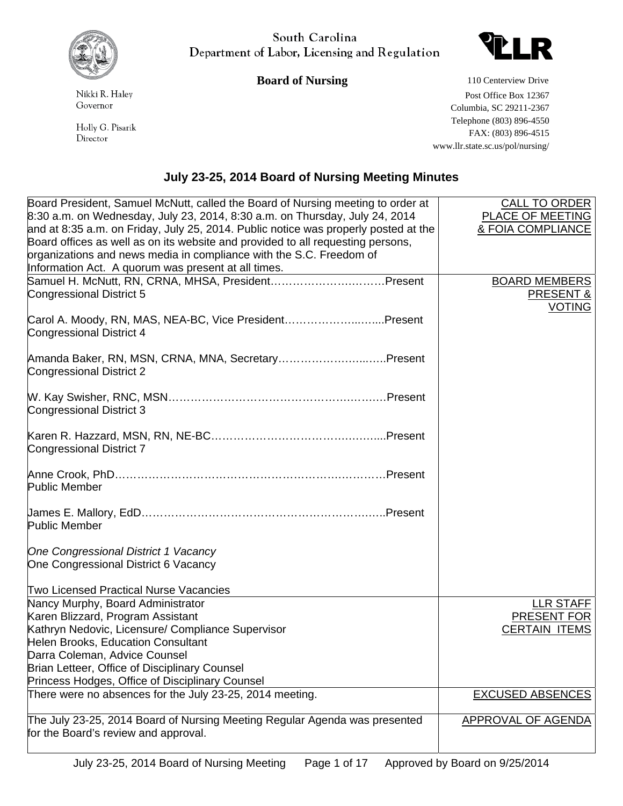

South Carolina Department of Labor, Licensing and Regulation

## **Board of Nursing 110 Centerview Drive**



Holly G. Pisarik Director

Nikki R. Haley Governor

 Post Office Box 12367 Columbia, SC 29211-2367 Telephone (803) 896-4550 FAX: (803) 896-4515 www.llr.state.sc.us/pol/nursing/

## **July 23-25, 2014 Board of Nursing Meeting Minutes**

| Board President, Samuel McNutt, called the Board of Nursing meeting to order at                            | <b>CALL TO ORDER</b>         |
|------------------------------------------------------------------------------------------------------------|------------------------------|
| 8:30 a.m. on Wednesday, July 23, 2014, 8:30 a.m. on Thursday, July 24, 2014                                | PLACE OF MEETING             |
| and at 8:35 a.m. on Friday, July 25, 2014. Public notice was properly posted at the                        | <b>&amp; FOIA COMPLIANCE</b> |
| Board offices as well as on its website and provided to all requesting persons,                            |                              |
| organizations and news media in compliance with the S.C. Freedom of                                        |                              |
| Information Act. A quorum was present at all times.                                                        |                              |
| n inormation Act. A quorum was present at all times.<br>Samuel H. McNutt, RN, CRNA, MHSA, PresidentPresent | <b>BOARD MEMBERS</b>         |
| Congressional District 5                                                                                   | PRESENT &                    |
|                                                                                                            | <b>VOTING</b>                |
| Carol A. Moody, RN, MAS, NEA-BC, Vice PresidentPresent                                                     |                              |
| Congressional District 4                                                                                   |                              |
|                                                                                                            |                              |
| Amanda Baker, RN, MSN, CRNA, MNA, SecretaryPresent                                                         |                              |
| <b>Congressional District 2</b>                                                                            |                              |
|                                                                                                            |                              |
|                                                                                                            |                              |
| <b>Congressional District 3</b>                                                                            |                              |
|                                                                                                            |                              |
|                                                                                                            |                              |
| <b>Congressional District 7</b>                                                                            |                              |
|                                                                                                            |                              |
|                                                                                                            |                              |
| <b>Public Member</b>                                                                                       |                              |
|                                                                                                            |                              |
|                                                                                                            |                              |
| <b>Public Member</b>                                                                                       |                              |
|                                                                                                            |                              |
| One Congressional District 1 Vacancy                                                                       |                              |
| One Congressional District 6 Vacancy                                                                       |                              |
|                                                                                                            |                              |
| <b>Two Licensed Practical Nurse Vacancies</b>                                                              |                              |
| Nancy Murphy, Board Administrator                                                                          | <b>LLR STAFF</b>             |
| Karen Blizzard, Program Assistant                                                                          | PRESENT FOR                  |
| Kathryn Nedovic, Licensure/ Compliance Supervisor                                                          | <b>CERTAIN ITEMS</b>         |
| Helen Brooks, Education Consultant                                                                         |                              |
| Darra Coleman, Advice Counsel                                                                              |                              |
| Brian Letteer, Office of Disciplinary Counsel                                                              |                              |
| Princess Hodges, Office of Disciplinary Counsel                                                            |                              |
| There were no absences for the July 23-25, 2014 meeting.                                                   | <b>EXCUSED ABSENCES</b>      |
|                                                                                                            |                              |
| The July 23-25, 2014 Board of Nursing Meeting Regular Agenda was presented                                 | <b>APPROVAL OF AGENDA</b>    |
| for the Board's review and approval.                                                                       |                              |
|                                                                                                            |                              |
|                                                                                                            |                              |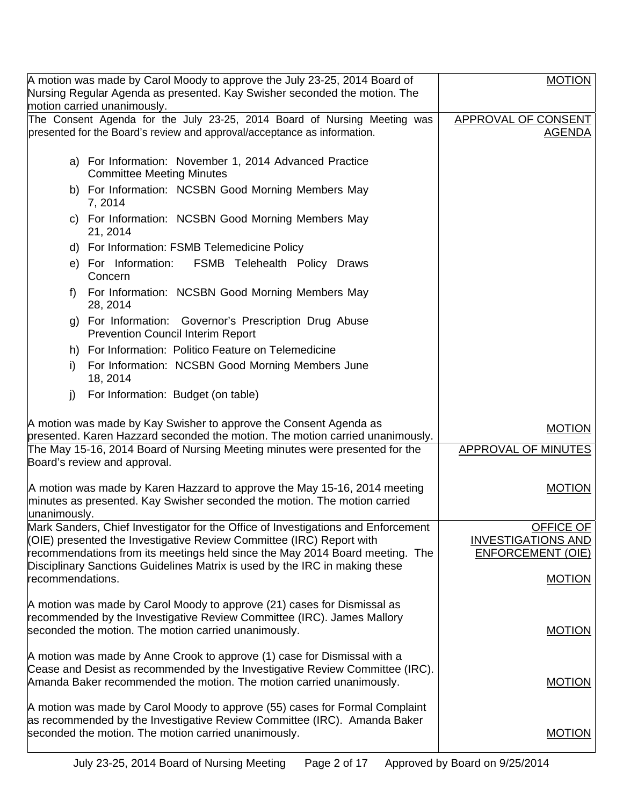|                  | A motion was made by Carol Moody to approve the July 23-25, 2014 Board of<br>Nursing Regular Agenda as presented. Kay Swisher seconded the motion. The                                                          | <b>MOTION</b>                                 |
|------------------|-----------------------------------------------------------------------------------------------------------------------------------------------------------------------------------------------------------------|-----------------------------------------------|
|                  | motion carried unanimously.                                                                                                                                                                                     |                                               |
|                  | The Consent Agenda for the July 23-25, 2014 Board of Nursing Meeting was<br>presented for the Board's review and approval/acceptance as information.                                                            | APPROVAL OF CONSENT<br><u>AGENDA</u>          |
|                  | a) For Information: November 1, 2014 Advanced Practice<br><b>Committee Meeting Minutes</b>                                                                                                                      |                                               |
|                  | b) For Information: NCSBN Good Morning Members May<br>7, 2014                                                                                                                                                   |                                               |
|                  | c) For Information: NCSBN Good Morning Members May<br>21, 2014                                                                                                                                                  |                                               |
|                  | d) For Information: FSMB Telemedicine Policy                                                                                                                                                                    |                                               |
|                  | e) For Information:<br>FSMB Telehealth Policy Draws<br>Concern                                                                                                                                                  |                                               |
| f                | For Information: NCSBN Good Morning Members May<br>28, 2014                                                                                                                                                     |                                               |
|                  | g) For Information: Governor's Prescription Drug Abuse<br><b>Prevention Council Interim Report</b>                                                                                                              |                                               |
|                  | h) For Information: Politico Feature on Telemedicine                                                                                                                                                            |                                               |
| i)               | For Information: NCSBN Good Morning Members June<br>18, 2014                                                                                                                                                    |                                               |
| j)               | For Information: Budget (on table)                                                                                                                                                                              |                                               |
|                  | A motion was made by Kay Swisher to approve the Consent Agenda as                                                                                                                                               |                                               |
|                  | presented. Karen Hazzard seconded the motion. The motion carried unanimously.                                                                                                                                   | <b>MOTION</b>                                 |
|                  | The May 15-16, 2014 Board of Nursing Meeting minutes were presented for the<br>Board's review and approval.                                                                                                     | APPROVAL OF MINUTES                           |
| unanimously.     | A motion was made by Karen Hazzard to approve the May 15-16, 2014 meeting<br>minutes as presented. Kay Swisher seconded the motion. The motion carried                                                          | <b>MOTION</b>                                 |
|                  |                                                                                                                                                                                                                 |                                               |
|                  |                                                                                                                                                                                                                 |                                               |
|                  | Mark Sanders, Chief Investigator for the Office of Investigations and Enforcement<br>(OIE) presented the Investigative Review Committee (IRC) Report with                                                       | <b>OFFICE OF</b><br><b>INVESTIGATIONS AND</b> |
|                  | recommendations from its meetings held since the May 2014 Board meeting. The                                                                                                                                    | <b>ENFORCEMENT (OIE)</b>                      |
| recommendations. | Disciplinary Sanctions Guidelines Matrix is used by the IRC in making these                                                                                                                                     | <b>MOTION</b>                                 |
|                  | A motion was made by Carol Moody to approve (21) cases for Dismissal as<br>recommended by the Investigative Review Committee (IRC). James Mallory<br>seconded the motion. The motion carried unanimously.       | <b>MOTION</b>                                 |
|                  | A motion was made by Anne Crook to approve (1) case for Dismissal with a<br>Cease and Desist as recommended by the Investigative Review Committee (IRC).                                                        |                                               |
|                  | Amanda Baker recommended the motion. The motion carried unanimously.                                                                                                                                            | <b>MOTION</b>                                 |
|                  | A motion was made by Carol Moody to approve (55) cases for Formal Complaint<br>as recommended by the Investigative Review Committee (IRC). Amanda Baker<br>seconded the motion. The motion carried unanimously. | <b>MOTION</b>                                 |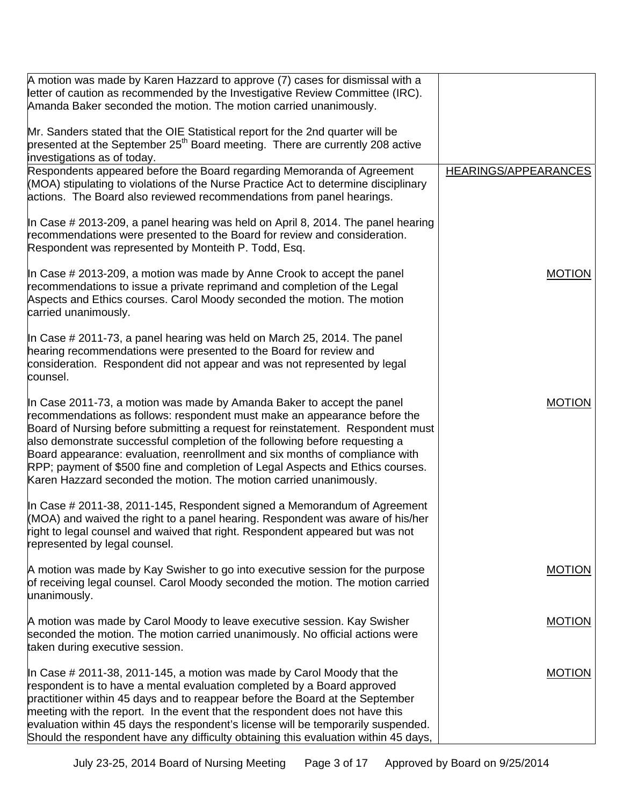| A motion was made by Karen Hazzard to approve (7) cases for dismissal with a<br>letter of caution as recommended by the Investigative Review Committee (IRC).<br>Amanda Baker seconded the motion. The motion carried unanimously.                                                                                                                                                                                                                                                                                                                            |                      |
|---------------------------------------------------------------------------------------------------------------------------------------------------------------------------------------------------------------------------------------------------------------------------------------------------------------------------------------------------------------------------------------------------------------------------------------------------------------------------------------------------------------------------------------------------------------|----------------------|
|                                                                                                                                                                                                                                                                                                                                                                                                                                                                                                                                                               |                      |
| Mr. Sanders stated that the OIE Statistical report for the 2nd quarter will be<br>presented at the September 25 <sup>th</sup> Board meeting. There are currently 208 active<br>investigations as of today.                                                                                                                                                                                                                                                                                                                                                    |                      |
| Respondents appeared before the Board regarding Memoranda of Agreement<br>(MOA) stipulating to violations of the Nurse Practice Act to determine disciplinary<br>actions. The Board also reviewed recommendations from panel hearings.                                                                                                                                                                                                                                                                                                                        | HEARINGS/APPEARANCES |
| In Case # 2013-209, a panel hearing was held on April 8, 2014. The panel hearing<br>recommendations were presented to the Board for review and consideration.<br>Respondent was represented by Monteith P. Todd, Esq.                                                                                                                                                                                                                                                                                                                                         |                      |
| In Case # 2013-209, a motion was made by Anne Crook to accept the panel<br>recommendations to issue a private reprimand and completion of the Legal<br>Aspects and Ethics courses. Carol Moody seconded the motion. The motion<br>carried unanimously.                                                                                                                                                                                                                                                                                                        | <b>MOTION</b>        |
| In Case # 2011-73, a panel hearing was held on March 25, 2014. The panel<br>hearing recommendations were presented to the Board for review and<br>consideration. Respondent did not appear and was not represented by legal<br>counsel.                                                                                                                                                                                                                                                                                                                       |                      |
| In Case 2011-73, a motion was made by Amanda Baker to accept the panel<br>recommendations as follows: respondent must make an appearance before the<br>Board of Nursing before submitting a request for reinstatement. Respondent must<br>also demonstrate successful completion of the following before requesting a<br>Board appearance: evaluation, reenrollment and six months of compliance with<br>RPP; payment of \$500 fine and completion of Legal Aspects and Ethics courses.<br>Karen Hazzard seconded the motion. The motion carried unanimously. | <b>MOTION</b>        |
| In Case # 2011-38, 2011-145, Respondent signed a Memorandum of Agreement<br>(MOA) and waived the right to a panel hearing. Respondent was aware of his/her<br>right to legal counsel and waived that right. Respondent appeared but was not<br>represented by legal counsel.                                                                                                                                                                                                                                                                                  |                      |
| A motion was made by Kay Swisher to go into executive session for the purpose<br>of receiving legal counsel. Carol Moody seconded the motion. The motion carried<br>unanimously.                                                                                                                                                                                                                                                                                                                                                                              | <b>MOTION</b>        |
| A motion was made by Carol Moody to leave executive session. Kay Swisher<br>seconded the motion. The motion carried unanimously. No official actions were<br>taken during executive session.                                                                                                                                                                                                                                                                                                                                                                  | <b>MOTION</b>        |
| In Case # 2011-38, 2011-145, a motion was made by Carol Moody that the<br>respondent is to have a mental evaluation completed by a Board approved<br>practitioner within 45 days and to reappear before the Board at the September<br>meeting with the report. In the event that the respondent does not have this<br>evaluation within 45 days the respondent's license will be temporarily suspended.<br>Should the respondent have any difficulty obtaining this evaluation within 45 days,                                                                | <b>MOTION</b>        |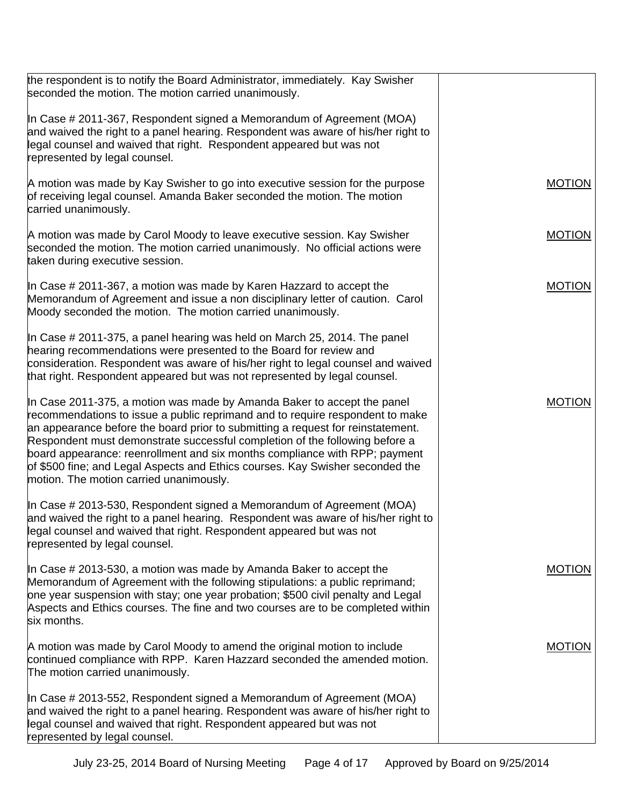| the respondent is to notify the Board Administrator, immediately. Kay Swisher<br>seconded the motion. The motion carried unanimously.                                                                                                                                                                                                                                                                                                                                                                                                |               |
|--------------------------------------------------------------------------------------------------------------------------------------------------------------------------------------------------------------------------------------------------------------------------------------------------------------------------------------------------------------------------------------------------------------------------------------------------------------------------------------------------------------------------------------|---------------|
| In Case # 2011-367, Respondent signed a Memorandum of Agreement (MOA)<br>and waived the right to a panel hearing. Respondent was aware of his/her right to<br>legal counsel and waived that right. Respondent appeared but was not<br>represented by legal counsel.                                                                                                                                                                                                                                                                  |               |
| A motion was made by Kay Swisher to go into executive session for the purpose<br>of receiving legal counsel. Amanda Baker seconded the motion. The motion<br>carried unanimously.                                                                                                                                                                                                                                                                                                                                                    | <b>MOTION</b> |
| A motion was made by Carol Moody to leave executive session. Kay Swisher<br>seconded the motion. The motion carried unanimously. No official actions were<br>taken during executive session.                                                                                                                                                                                                                                                                                                                                         | <b>MOTION</b> |
| In Case # 2011-367, a motion was made by Karen Hazzard to accept the<br>Memorandum of Agreement and issue a non disciplinary letter of caution. Carol<br>Moody seconded the motion. The motion carried unanimously.                                                                                                                                                                                                                                                                                                                  | <b>MOTION</b> |
| In Case # 2011-375, a panel hearing was held on March 25, 2014. The panel<br>hearing recommendations were presented to the Board for review and<br>consideration. Respondent was aware of his/her right to legal counsel and waived<br>that right. Respondent appeared but was not represented by legal counsel.                                                                                                                                                                                                                     |               |
| In Case 2011-375, a motion was made by Amanda Baker to accept the panel<br>recommendations to issue a public reprimand and to require respondent to make<br>an appearance before the board prior to submitting a request for reinstatement.<br>Respondent must demonstrate successful completion of the following before a<br>board appearance: reenrollment and six months compliance with RPP; payment<br>of \$500 fine; and Legal Aspects and Ethics courses. Kay Swisher seconded the<br>motion. The motion carried unanimously. | <b>MOTION</b> |
| In Case # 2013-530, Respondent signed a Memorandum of Agreement (MOA)<br>and waived the right to a panel hearing. Respondent was aware of his/her right to<br>legal counsel and waived that right. Respondent appeared but was not<br>represented by legal counsel.                                                                                                                                                                                                                                                                  |               |
| In Case # 2013-530, a motion was made by Amanda Baker to accept the<br>Memorandum of Agreement with the following stipulations: a public reprimand;<br>one year suspension with stay; one year probation; \$500 civil penalty and Legal<br>Aspects and Ethics courses. The fine and two courses are to be completed within<br>six months.                                                                                                                                                                                            | <b>MOTION</b> |
| A motion was made by Carol Moody to amend the original motion to include<br>continued compliance with RPP. Karen Hazzard seconded the amended motion.<br>The motion carried unanimously.                                                                                                                                                                                                                                                                                                                                             | <b>MOTION</b> |
| In Case # 2013-552, Respondent signed a Memorandum of Agreement (MOA)<br>and waived the right to a panel hearing. Respondent was aware of his/her right to<br>legal counsel and waived that right. Respondent appeared but was not<br>represented by legal counsel.                                                                                                                                                                                                                                                                  |               |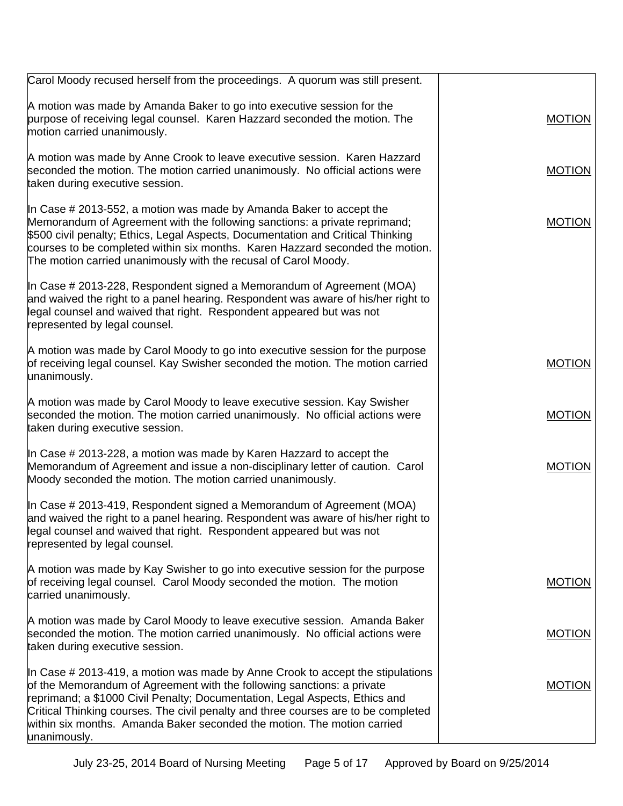| Carol Moody recused herself from the proceedings. A quorum was still present.                                                                                                                                                                                                                                                                                                                                               |               |
|-----------------------------------------------------------------------------------------------------------------------------------------------------------------------------------------------------------------------------------------------------------------------------------------------------------------------------------------------------------------------------------------------------------------------------|---------------|
| A motion was made by Amanda Baker to go into executive session for the<br>purpose of receiving legal counsel. Karen Hazzard seconded the motion. The<br>motion carried unanimously.                                                                                                                                                                                                                                         | <b>MOTION</b> |
| A motion was made by Anne Crook to leave executive session. Karen Hazzard<br>seconded the motion. The motion carried unanimously. No official actions were<br>taken during executive session.                                                                                                                                                                                                                               | <b>MOTION</b> |
| In Case # 2013-552, a motion was made by Amanda Baker to accept the<br>Memorandum of Agreement with the following sanctions: a private reprimand;<br>\$500 civil penalty; Ethics, Legal Aspects, Documentation and Critical Thinking<br>courses to be completed within six months. Karen Hazzard seconded the motion.<br>The motion carried unanimously with the recusal of Carol Moody.                                    | <b>MOTION</b> |
| In Case $\#$ 2013-228, Respondent signed a Memorandum of Agreement (MOA)<br>and waived the right to a panel hearing. Respondent was aware of his/her right to<br>legal counsel and waived that right. Respondent appeared but was not<br>represented by legal counsel.                                                                                                                                                      |               |
| A motion was made by Carol Moody to go into executive session for the purpose<br>of receiving legal counsel. Kay Swisher seconded the motion. The motion carried<br>unanimously.                                                                                                                                                                                                                                            | <b>MOTION</b> |
| A motion was made by Carol Moody to leave executive session. Kay Swisher<br>seconded the motion. The motion carried unanimously. No official actions were<br>taken during executive session.                                                                                                                                                                                                                                | <b>MOTION</b> |
| In Case # 2013-228, a motion was made by Karen Hazzard to accept the<br>Memorandum of Agreement and issue a non-disciplinary letter of caution. Carol<br>Moody seconded the motion. The motion carried unanimously.                                                                                                                                                                                                         | <b>MOTION</b> |
| In Case $\#$ 2013-419, Respondent signed a Memorandum of Agreement (MOA)<br>and waived the right to a panel hearing. Respondent was aware of his/her right to<br>legal counsel and waived that right. Respondent appeared but was not<br>represented by legal counsel.                                                                                                                                                      |               |
| A motion was made by Kay Swisher to go into executive session for the purpose<br>of receiving legal counsel. Carol Moody seconded the motion. The motion<br>carried unanimously.                                                                                                                                                                                                                                            | <b>MOTION</b> |
| A motion was made by Carol Moody to leave executive session. Amanda Baker<br>seconded the motion. The motion carried unanimously. No official actions were<br>taken during executive session.                                                                                                                                                                                                                               | <b>MOTION</b> |
| In Case $\#$ 2013-419, a motion was made by Anne Crook to accept the stipulations<br>of the Memorandum of Agreement with the following sanctions: a private<br>reprimand; a \$1000 Civil Penalty; Documentation, Legal Aspects, Ethics and<br>Critical Thinking courses. The civil penalty and three courses are to be completed<br>within six months. Amanda Baker seconded the motion. The motion carried<br>unanimously. | <b>MOTION</b> |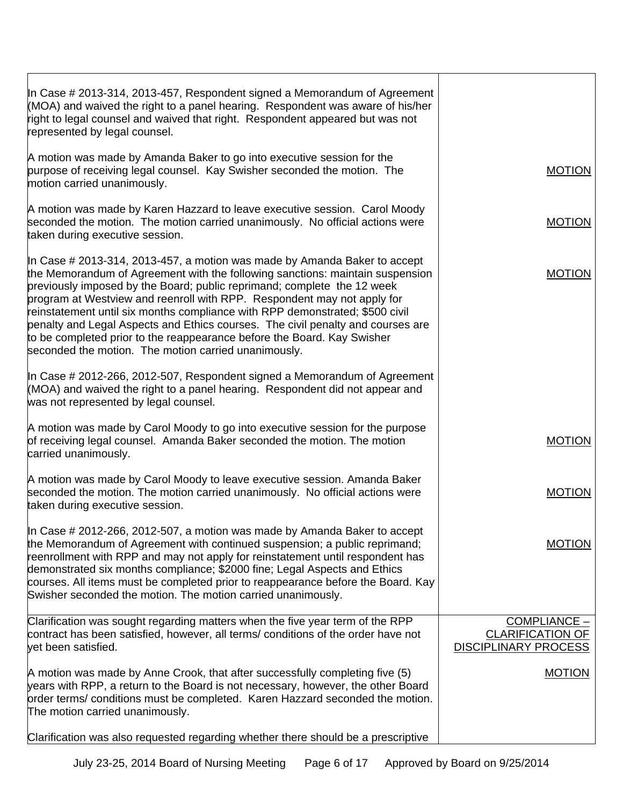| In Case # 2013-314, 2013-457, Respondent signed a Memorandum of Agreement                                                                                                                                                                                                                                                                                                                                                                                                                                                                                                                                              |                                                                          |
|------------------------------------------------------------------------------------------------------------------------------------------------------------------------------------------------------------------------------------------------------------------------------------------------------------------------------------------------------------------------------------------------------------------------------------------------------------------------------------------------------------------------------------------------------------------------------------------------------------------------|--------------------------------------------------------------------------|
| (MOA) and waived the right to a panel hearing. Respondent was aware of his/her<br>right to legal counsel and waived that right. Respondent appeared but was not<br>represented by legal counsel.                                                                                                                                                                                                                                                                                                                                                                                                                       |                                                                          |
| A motion was made by Amanda Baker to go into executive session for the<br>purpose of receiving legal counsel. Kay Swisher seconded the motion. The<br>motion carried unanimously.                                                                                                                                                                                                                                                                                                                                                                                                                                      | <b>MOTION</b>                                                            |
| A motion was made by Karen Hazzard to leave executive session. Carol Moody<br>seconded the motion. The motion carried unanimously. No official actions were<br>taken during executive session.                                                                                                                                                                                                                                                                                                                                                                                                                         | <b>MOTION</b>                                                            |
| In Case # 2013-314, 2013-457, a motion was made by Amanda Baker to accept<br>the Memorandum of Agreement with the following sanctions: maintain suspension<br>previously imposed by the Board; public reprimand; complete the 12 week<br>program at Westview and reenroll with RPP. Respondent may not apply for<br>reinstatement until six months compliance with RPP demonstrated; \$500 civil<br>penalty and Legal Aspects and Ethics courses. The civil penalty and courses are<br>to be completed prior to the reappearance before the Board. Kay Swisher<br>seconded the motion. The motion carried unanimously. | <b>MOTION</b>                                                            |
| In Case # 2012-266, 2012-507, Respondent signed a Memorandum of Agreement<br>(MOA) and waived the right to a panel hearing. Respondent did not appear and<br>was not represented by legal counsel.                                                                                                                                                                                                                                                                                                                                                                                                                     |                                                                          |
| A motion was made by Carol Moody to go into executive session for the purpose<br>of receiving legal counsel. Amanda Baker seconded the motion. The motion<br>carried unanimously.                                                                                                                                                                                                                                                                                                                                                                                                                                      | <b>MOTION</b>                                                            |
| A motion was made by Carol Moody to leave executive session. Amanda Baker<br>seconded the motion. The motion carried unanimously. No official actions were<br>taken during executive session.                                                                                                                                                                                                                                                                                                                                                                                                                          | <b>MOTION</b>                                                            |
| In Case # 2012-266, 2012-507, a motion was made by Amanda Baker to accept<br>the Memorandum of Agreement with continued suspension; a public reprimand;<br>reenrollment with RPP and may not apply for reinstatement until respondent has<br>demonstrated six months compliance; \$2000 fine; Legal Aspects and Ethics<br>courses. All items must be completed prior to reappearance before the Board. Kay<br>Swisher seconded the motion. The motion carried unanimously.                                                                                                                                             | <b>MOTION</b>                                                            |
| Clarification was sought regarding matters when the five year term of the RPP<br>contract has been satisfied, however, all terms/ conditions of the order have not<br>vet been satisfied.                                                                                                                                                                                                                                                                                                                                                                                                                              | $COMPLIANCE -$<br><b>CLARIFICATION OF</b><br><b>DISCIPLINARY PROCESS</b> |
| A motion was made by Anne Crook, that after successfully completing five (5)<br>years with RPP, a return to the Board is not necessary, however, the other Board<br>order terms/ conditions must be completed. Karen Hazzard seconded the motion.<br>The motion carried unanimously.                                                                                                                                                                                                                                                                                                                                   | <b>MOTION</b>                                                            |
| Clarification was also requested regarding whether there should be a prescriptive                                                                                                                                                                                                                                                                                                                                                                                                                                                                                                                                      |                                                                          |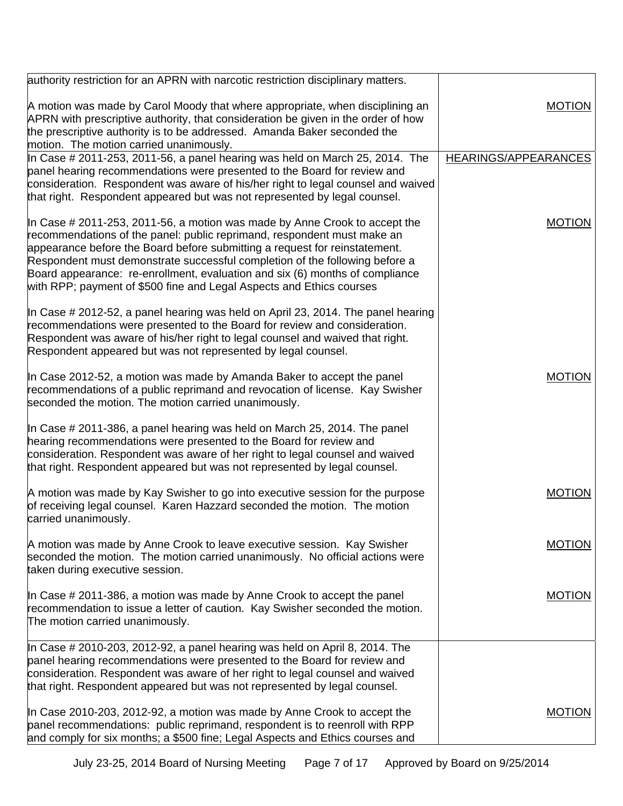| authority restriction for an APRN with narcotic restriction disciplinary matters.                                                                                                                                                                                                                                                                                                                                                                                          |                      |
|----------------------------------------------------------------------------------------------------------------------------------------------------------------------------------------------------------------------------------------------------------------------------------------------------------------------------------------------------------------------------------------------------------------------------------------------------------------------------|----------------------|
| A motion was made by Carol Moody that where appropriate, when disciplining an<br>APRN with prescriptive authority, that consideration be given in the order of how<br>the prescriptive authority is to be addressed. Amanda Baker seconded the<br>motion. The motion carried unanimously.                                                                                                                                                                                  | <b>MOTION</b>        |
| In Case # 2011-253, 2011-56, a panel hearing was held on March 25, 2014. The                                                                                                                                                                                                                                                                                                                                                                                               | HEARINGS/APPEARANCES |
| panel hearing recommendations were presented to the Board for review and<br>consideration. Respondent was aware of his/her right to legal counsel and waived<br>that right. Respondent appeared but was not represented by legal counsel.                                                                                                                                                                                                                                  |                      |
| In Case # 2011-253, 2011-56, a motion was made by Anne Crook to accept the<br>recommendations of the panel: public reprimand, respondent must make an<br>appearance before the Board before submitting a request for reinstatement.<br>Respondent must demonstrate successful completion of the following before a<br>Board appearance: re-enrollment, evaluation and six (6) months of compliance<br>with RPP; payment of \$500 fine and Legal Aspects and Ethics courses | <b>MOTION</b>        |
| In Case # 2012-52, a panel hearing was held on April 23, 2014. The panel hearing<br>recommendations were presented to the Board for review and consideration.<br>Respondent was aware of his/her right to legal counsel and waived that right.<br>Respondent appeared but was not represented by legal counsel.                                                                                                                                                            |                      |
| In Case 2012-52, a motion was made by Amanda Baker to accept the panel<br>recommendations of a public reprimand and revocation of license. Kay Swisher<br>seconded the motion. The motion carried unanimously.                                                                                                                                                                                                                                                             | <b>MOTION</b>        |
| In Case # 2011-386, a panel hearing was held on March 25, 2014. The panel<br>hearing recommendations were presented to the Board for review and<br>consideration. Respondent was aware of her right to legal counsel and waived<br>that right. Respondent appeared but was not represented by legal counsel.                                                                                                                                                               |                      |
| A motion was made by Kay Swisher to go into executive session for the purpose<br>of receiving legal counsel. Karen Hazzard seconded the motion. The motion<br>carried unanimously.                                                                                                                                                                                                                                                                                         | <b>MOTION</b>        |
| A motion was made by Anne Crook to leave executive session. Kay Swisher<br>seconded the motion. The motion carried unanimously. No official actions were<br>taken during executive session.                                                                                                                                                                                                                                                                                | <b>MOTION</b>        |
| In Case # 2011-386, a motion was made by Anne Crook to accept the panel<br>recommendation to issue a letter of caution. Kay Swisher seconded the motion.<br>The motion carried unanimously.                                                                                                                                                                                                                                                                                | <b>MOTION</b>        |
| In Case # 2010-203, 2012-92, a panel hearing was held on April 8, 2014. The<br>panel hearing recommendations were presented to the Board for review and<br>consideration. Respondent was aware of her right to legal counsel and waived<br>that right. Respondent appeared but was not represented by legal counsel.                                                                                                                                                       |                      |
| In Case 2010-203, 2012-92, a motion was made by Anne Crook to accept the<br>panel recommendations: public reprimand, respondent is to reenroll with RPP<br>and comply for six months; a \$500 fine; Legal Aspects and Ethics courses and                                                                                                                                                                                                                                   | <b>MOTION</b>        |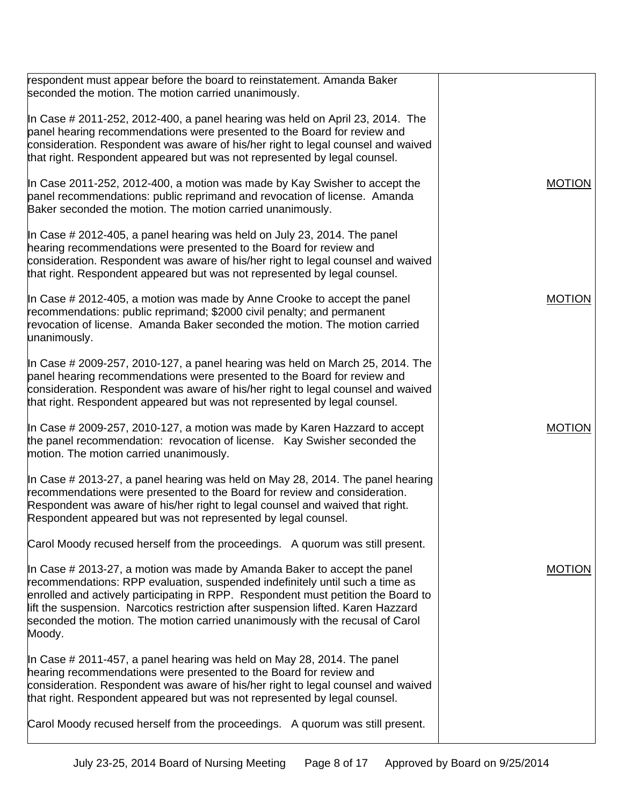| respondent must appear before the board to reinstatement. Amanda Baker<br>seconded the motion. The motion carried unanimously.                                                                                                                                                                                                                                                                                                |               |
|-------------------------------------------------------------------------------------------------------------------------------------------------------------------------------------------------------------------------------------------------------------------------------------------------------------------------------------------------------------------------------------------------------------------------------|---------------|
| In Case # 2011-252, 2012-400, a panel hearing was held on April 23, 2014. The<br>panel hearing recommendations were presented to the Board for review and<br>consideration. Respondent was aware of his/her right to legal counsel and waived<br>that right. Respondent appeared but was not represented by legal counsel.                                                                                                    |               |
| In Case 2011-252, 2012-400, a motion was made by Kay Swisher to accept the<br>panel recommendations: public reprimand and revocation of license. Amanda<br>Baker seconded the motion. The motion carried unanimously.                                                                                                                                                                                                         | <b>MOTION</b> |
| In Case # 2012-405, a panel hearing was held on July 23, 2014. The panel<br>hearing recommendations were presented to the Board for review and<br>consideration. Respondent was aware of his/her right to legal counsel and waived<br>that right. Respondent appeared but was not represented by legal counsel.                                                                                                               |               |
| In Case # 2012-405, a motion was made by Anne Crooke to accept the panel<br>recommendations: public reprimand; \$2000 civil penalty; and permanent<br>revocation of license. Amanda Baker seconded the motion. The motion carried<br>unanimously.                                                                                                                                                                             | <b>MOTION</b> |
| In Case # 2009-257, 2010-127, a panel hearing was held on March 25, 2014. The<br>panel hearing recommendations were presented to the Board for review and<br>consideration. Respondent was aware of his/her right to legal counsel and waived<br>that right. Respondent appeared but was not represented by legal counsel.                                                                                                    |               |
| In Case # 2009-257, 2010-127, a motion was made by Karen Hazzard to accept<br>the panel recommendation: revocation of license. Kay Swisher seconded the<br>motion. The motion carried unanimously.                                                                                                                                                                                                                            | <b>MOTION</b> |
| In Case # 2013-27, a panel hearing was held on May 28, 2014. The panel hearing<br>recommendations were presented to the Board for review and consideration.<br>Respondent was aware of his/her right to legal counsel and waived that right.<br>Respondent appeared but was not represented by legal counsel.                                                                                                                 |               |
| Carol Moody recused herself from the proceedings. A quorum was still present.                                                                                                                                                                                                                                                                                                                                                 |               |
| In Case # 2013-27, a motion was made by Amanda Baker to accept the panel<br>recommendations: RPP evaluation, suspended indefinitely until such a time as<br>enrolled and actively participating in RPP. Respondent must petition the Board to<br>lift the suspension. Narcotics restriction after suspension lifted. Karen Hazzard<br>seconded the motion. The motion carried unanimously with the recusal of Carol<br>Moody. | <b>MOTION</b> |
| In Case # 2011-457, a panel hearing was held on May 28, 2014. The panel<br>hearing recommendations were presented to the Board for review and<br>consideration. Respondent was aware of his/her right to legal counsel and waived<br>that right. Respondent appeared but was not represented by legal counsel.                                                                                                                |               |
| Carol Moody recused herself from the proceedings. A quorum was still present.                                                                                                                                                                                                                                                                                                                                                 |               |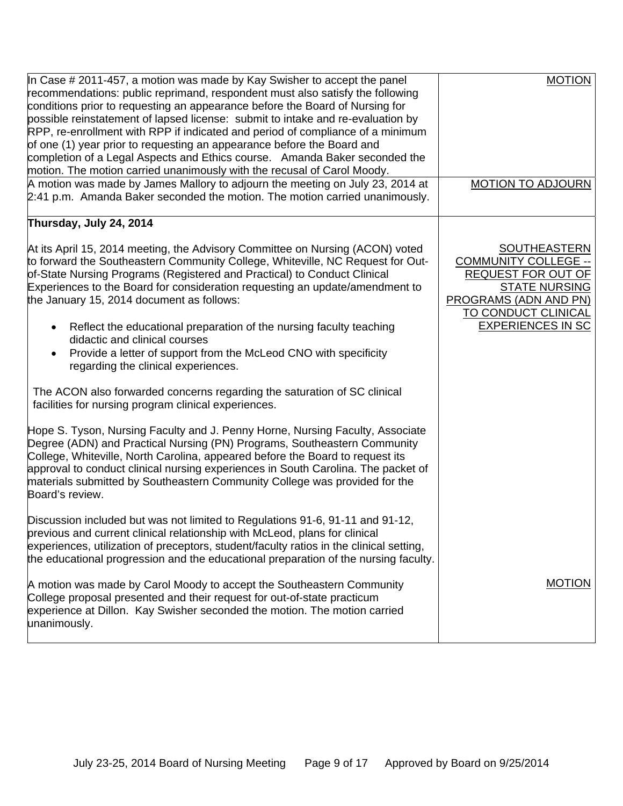| In Case # 2011-457, a motion was made by Kay Swisher to accept the panel<br>recommendations: public reprimand, respondent must also satisfy the following<br>conditions prior to requesting an appearance before the Board of Nursing for<br>possible reinstatement of lapsed license: submit to intake and re-evaluation by<br>RPP, re-enrollment with RPP if indicated and period of compliance of a minimum<br>of one (1) year prior to requesting an appearance before the Board and<br>completion of a Legal Aspects and Ethics course. Amanda Baker seconded the<br>motion. The motion carried unanimously with the recusal of Carol Moody. | <b>MOTION</b>                                                                                                                                                         |
|---------------------------------------------------------------------------------------------------------------------------------------------------------------------------------------------------------------------------------------------------------------------------------------------------------------------------------------------------------------------------------------------------------------------------------------------------------------------------------------------------------------------------------------------------------------------------------------------------------------------------------------------------|-----------------------------------------------------------------------------------------------------------------------------------------------------------------------|
| A motion was made by James Mallory to adjourn the meeting on July 23, 2014 at<br>2:41 p.m. Amanda Baker seconded the motion. The motion carried unanimously.                                                                                                                                                                                                                                                                                                                                                                                                                                                                                      | <b>MOTION TO ADJOURN</b>                                                                                                                                              |
| Thursday, July 24, 2014                                                                                                                                                                                                                                                                                                                                                                                                                                                                                                                                                                                                                           |                                                                                                                                                                       |
| At its April 15, 2014 meeting, the Advisory Committee on Nursing (ACON) voted<br>to forward the Southeastern Community College, Whiteville, NC Request for Out-<br>of-State Nursing Programs (Registered and Practical) to Conduct Clinical<br>Experiences to the Board for consideration requesting an update/amendment to<br>the January 15, 2014 document as follows:                                                                                                                                                                                                                                                                          | <b>SOUTHEASTERN</b><br><b>COMMUNITY COLLEGE --</b><br><b>REQUEST FOR OUT OF</b><br><b>STATE NURSING</b><br><b>PROGRAMS (ADN AND PN)</b><br><b>TO CONDUCT CLINICAL</b> |
| Reflect the educational preparation of the nursing faculty teaching<br>didactic and clinical courses<br>Provide a letter of support from the McLeod CNO with specificity<br>regarding the clinical experiences.                                                                                                                                                                                                                                                                                                                                                                                                                                   | <b>EXPERIENCES IN SC</b>                                                                                                                                              |
| The ACON also forwarded concerns regarding the saturation of SC clinical<br>facilities for nursing program clinical experiences.                                                                                                                                                                                                                                                                                                                                                                                                                                                                                                                  |                                                                                                                                                                       |
| Hope S. Tyson, Nursing Faculty and J. Penny Horne, Nursing Faculty, Associate<br>Degree (ADN) and Practical Nursing (PN) Programs, Southeastern Community<br>College, Whiteville, North Carolina, appeared before the Board to request its<br>approval to conduct clinical nursing experiences in South Carolina. The packet of<br>materials submitted by Southeastern Community College was provided for the<br>Board's review.                                                                                                                                                                                                                  |                                                                                                                                                                       |
| Discussion included but was not limited to Regulations 91-6, 91-11 and 91-12,<br>previous and current clinical relationship with McLeod, plans for clinical<br>experiences, utilization of preceptors, student/faculty ratios in the clinical setting,<br>the educational progression and the educational preparation of the nursing faculty.                                                                                                                                                                                                                                                                                                     |                                                                                                                                                                       |
| A motion was made by Carol Moody to accept the Southeastern Community<br>College proposal presented and their request for out-of-state practicum<br>experience at Dillon. Kay Swisher seconded the motion. The motion carried<br>unanimously.                                                                                                                                                                                                                                                                                                                                                                                                     | <b>MOTION</b>                                                                                                                                                         |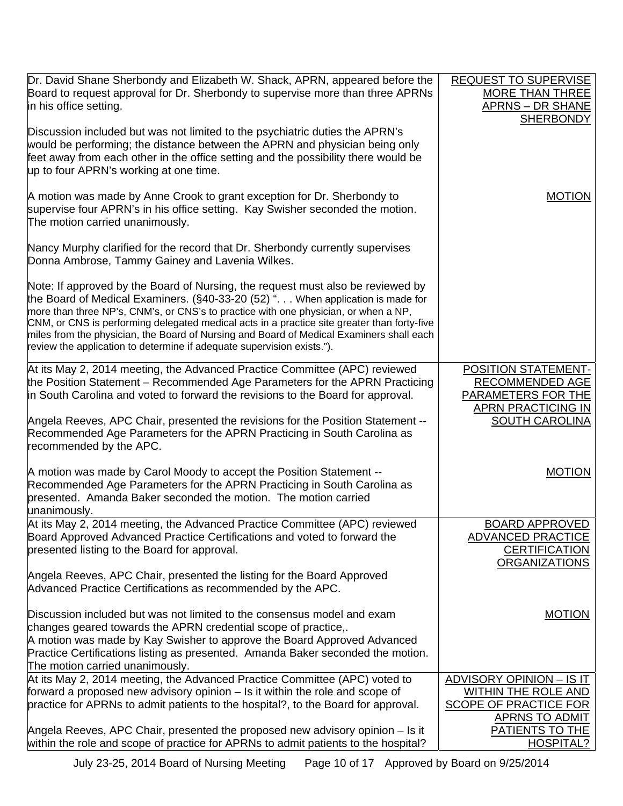| Dr. David Shane Sherbondy and Elizabeth W. Shack, APRN, appeared before the<br>Board to request approval for Dr. Sherbondy to supervise more than three APRNs<br>in his office setting.                                                                                                                                                                                                                                                                                                                                        | <b>REQUEST TO SUPERVISE</b><br><b>MORE THAN THREE</b><br><b>APRNS - DR SHANE</b> |
|--------------------------------------------------------------------------------------------------------------------------------------------------------------------------------------------------------------------------------------------------------------------------------------------------------------------------------------------------------------------------------------------------------------------------------------------------------------------------------------------------------------------------------|----------------------------------------------------------------------------------|
| Discussion included but was not limited to the psychiatric duties the APRN's                                                                                                                                                                                                                                                                                                                                                                                                                                                   | <b>SHERBONDY</b>                                                                 |
| would be performing; the distance between the APRN and physician being only<br>feet away from each other in the office setting and the possibility there would be<br>up to four APRN's working at one time.                                                                                                                                                                                                                                                                                                                    |                                                                                  |
| A motion was made by Anne Crook to grant exception for Dr. Sherbondy to<br>supervise four APRN's in his office setting. Kay Swisher seconded the motion.<br>The motion carried unanimously.                                                                                                                                                                                                                                                                                                                                    | <b>MOTION</b>                                                                    |
| Nancy Murphy clarified for the record that Dr. Sherbondy currently supervises<br>Donna Ambrose, Tammy Gainey and Lavenia Wilkes.                                                                                                                                                                                                                                                                                                                                                                                               |                                                                                  |
| Note: If approved by the Board of Nursing, the request must also be reviewed by<br>the Board of Medical Examiners. (§40-33-20 (52) ". When application is made for<br>more than three NP's, CNM's, or CNS's to practice with one physician, or when a NP,<br>CNM, or CNS is performing delegated medical acts in a practice site greater than forty-five<br>miles from the physician, the Board of Nursing and Board of Medical Examiners shall each<br>review the application to determine if adequate supervision exists."). |                                                                                  |
| At its May 2, 2014 meeting, the Advanced Practice Committee (APC) reviewed<br>the Position Statement - Recommended Age Parameters for the APRN Practicing                                                                                                                                                                                                                                                                                                                                                                      | POSITION STATEMENT-<br>RECOMMENDED AGE                                           |
| in South Carolina and voted to forward the revisions to the Board for approval.                                                                                                                                                                                                                                                                                                                                                                                                                                                | <b>PARAMETERS FOR THE</b><br><b>APRN PRACTICING IN</b>                           |
| Angela Reeves, APC Chair, presented the revisions for the Position Statement --<br>Recommended Age Parameters for the APRN Practicing in South Carolina as<br>recommended by the APC.                                                                                                                                                                                                                                                                                                                                          | <b>SOUTH CAROLINA</b>                                                            |
| A motion was made by Carol Moody to accept the Position Statement --<br>Recommended Age Parameters for the APRN Practicing in South Carolina as<br>presented. Amanda Baker seconded the motion. The motion carried<br>unanimously.                                                                                                                                                                                                                                                                                             | <b>MOTION</b>                                                                    |
| At its May 2, 2014 meeting, the Advanced Practice Committee (APC) reviewed<br>Board Approved Advanced Practice Certifications and voted to forward the<br>presented listing to the Board for approval.                                                                                                                                                                                                                                                                                                                         | <b>BOARD APPROVED</b><br><b>ADVANCED PRACTICE</b><br><b>CERTIFICATION</b>        |
| Angela Reeves, APC Chair, presented the listing for the Board Approved<br>Advanced Practice Certifications as recommended by the APC.                                                                                                                                                                                                                                                                                                                                                                                          | <b>ORGANIZATIONS</b>                                                             |
| Discussion included but was not limited to the consensus model and exam<br>changes geared towards the APRN credential scope of practice,.                                                                                                                                                                                                                                                                                                                                                                                      | <b>MOTION</b>                                                                    |
| A motion was made by Kay Swisher to approve the Board Approved Advanced<br>Practice Certifications listing as presented. Amanda Baker seconded the motion.                                                                                                                                                                                                                                                                                                                                                                     |                                                                                  |
| The motion carried unanimously.                                                                                                                                                                                                                                                                                                                                                                                                                                                                                                |                                                                                  |
| At its May 2, 2014 meeting, the Advanced Practice Committee (APC) voted to<br>forward a proposed new advisory opinion - Is it within the role and scope of                                                                                                                                                                                                                                                                                                                                                                     | <u>ADVISORY OPINION - IS IT</u><br>WITHIN THE ROLE AND                           |
| practice for APRNs to admit patients to the hospital?, to the Board for approval.                                                                                                                                                                                                                                                                                                                                                                                                                                              | <b>SCOPE OF PRACTICE FOR</b><br><b>APRNS TO ADMIT</b>                            |
| Angela Reeves, APC Chair, presented the proposed new advisory opinion - Is it<br>within the role and scope of practice for APRNs to admit patients to the hospital?                                                                                                                                                                                                                                                                                                                                                            | PATIENTS TO THE<br>HOSPITAL?                                                     |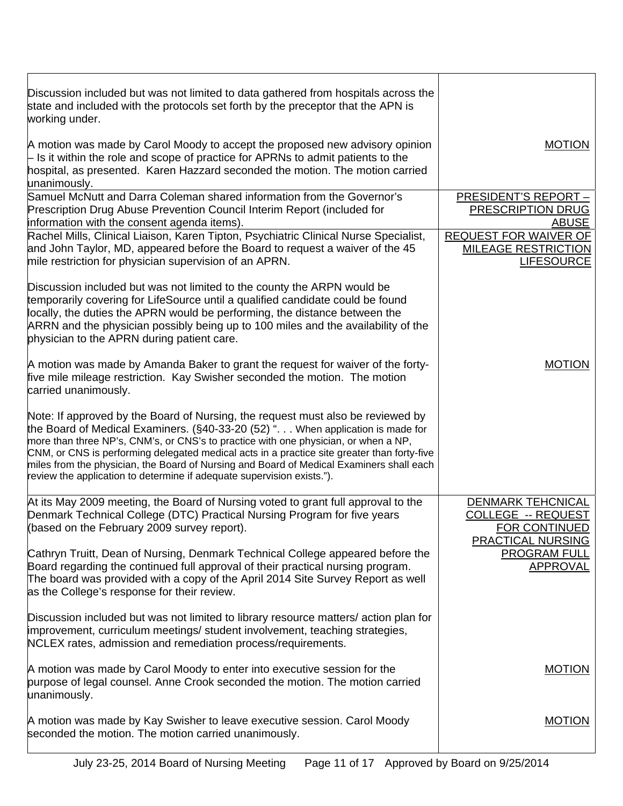| Discussion included but was not limited to data gathered from hospitals across the<br>state and included with the protocols set forth by the preceptor that the APN is<br>working under.                                                                                                                                                                                                                                                                                                                                       |                                                                                 |
|--------------------------------------------------------------------------------------------------------------------------------------------------------------------------------------------------------------------------------------------------------------------------------------------------------------------------------------------------------------------------------------------------------------------------------------------------------------------------------------------------------------------------------|---------------------------------------------------------------------------------|
| A motion was made by Carol Moody to accept the proposed new advisory opinion<br>$\vdash$ Is it within the role and scope of practice for APRNs to admit patients to the<br>hospital, as presented. Karen Hazzard seconded the motion. The motion carried<br>unanimously.                                                                                                                                                                                                                                                       | <b>MOTION</b>                                                                   |
| Samuel McNutt and Darra Coleman shared information from the Governor's<br>Prescription Drug Abuse Prevention Council Interim Report (included for<br>information with the consent agenda items).                                                                                                                                                                                                                                                                                                                               | <b>PRESIDENT'S REPORT -</b><br>PRESCRIPTION DRUG<br><b>ABUSE</b>                |
| Rachel Mills, Clinical Liaison, Karen Tipton, Psychiatric Clinical Nurse Specialist,<br>and John Taylor, MD, appeared before the Board to request a waiver of the 45<br>mile restriction for physician supervision of an APRN.                                                                                                                                                                                                                                                                                                 | <b>REQUEST FOR WAIVER OF</b><br><b>MILEAGE RESTRICTION</b><br><b>LIFESOURCE</b> |
| Discussion included but was not limited to the county the ARPN would be<br>temporarily covering for LifeSource until a qualified candidate could be found<br>locally, the duties the APRN would be performing, the distance between the<br>ARRN and the physician possibly being up to 100 miles and the availability of the<br>physician to the APRN during patient care.                                                                                                                                                     |                                                                                 |
| A motion was made by Amanda Baker to grant the request for waiver of the forty-<br>five mile mileage restriction. Kay Swisher seconded the motion. The motion<br>carried unanimously.                                                                                                                                                                                                                                                                                                                                          | <b>MOTION</b>                                                                   |
| Note: If approved by the Board of Nursing, the request must also be reviewed by<br>the Board of Medical Examiners. (§40-33-20 (52) ". When application is made for<br>more than three NP's, CNM's, or CNS's to practice with one physician, or when a NP,<br>CNM, or CNS is performing delegated medical acts in a practice site greater than forty-five<br>miles from the physician, the Board of Nursing and Board of Medical Examiners shall each<br>review the application to determine if adequate supervision exists."). |                                                                                 |
| At its May 2009 meeting, the Board of Nursing voted to grant full approval to the<br>Denmark Technical College (DTC) Practical Nursing Program for five years<br>(based on the February 2009 survey report).                                                                                                                                                                                                                                                                                                                   | <b>DENMARK TEHCNICAL</b><br>COLLEGE -- REQUEST<br><b>FOR CONTINUED</b>          |
| Cathryn Truitt, Dean of Nursing, Denmark Technical College appeared before the<br>Board regarding the continued full approval of their practical nursing program.<br>The board was provided with a copy of the April 2014 Site Survey Report as well<br>as the College's response for their review.                                                                                                                                                                                                                            | <b>PRACTICAL NURSING</b><br><b>PROGRAM FULL</b><br><b>APPROVAL</b>              |
| Discussion included but was not limited to library resource matters/ action plan for<br>improvement, curriculum meetings/ student involvement, teaching strategies,<br>NCLEX rates, admission and remediation process/requirements.                                                                                                                                                                                                                                                                                            |                                                                                 |
| A motion was made by Carol Moody to enter into executive session for the<br>purpose of legal counsel. Anne Crook seconded the motion. The motion carried<br>unanimously.                                                                                                                                                                                                                                                                                                                                                       | <b>MOTION</b>                                                                   |
| A motion was made by Kay Swisher to leave executive session. Carol Moody<br>seconded the motion. The motion carried unanimously.                                                                                                                                                                                                                                                                                                                                                                                               | <b>MOTION</b>                                                                   |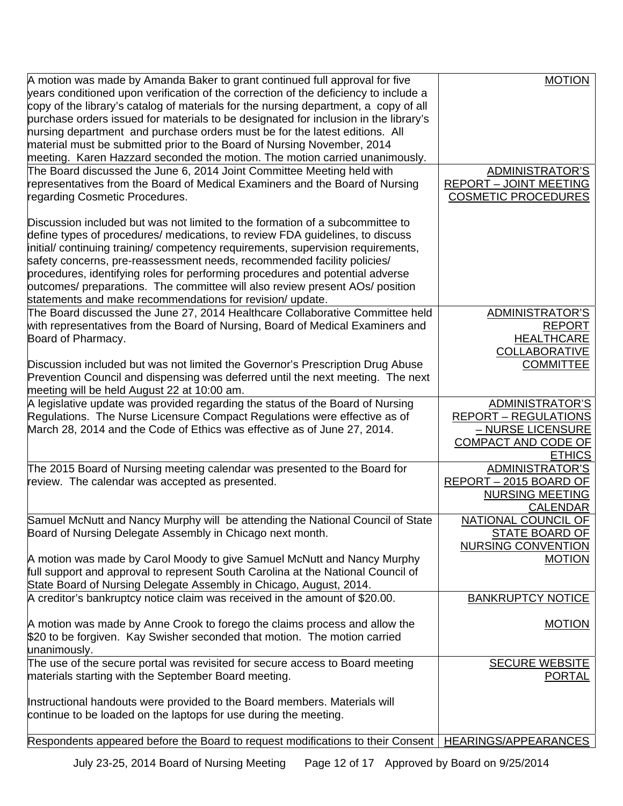| A motion was made by Amanda Baker to grant continued full approval for five          | <b>MOTION</b>                 |
|--------------------------------------------------------------------------------------|-------------------------------|
| years conditioned upon verification of the correction of the deficiency to include a |                               |
| copy of the library's catalog of materials for the nursing department, a copy of all |                               |
| purchase orders issued for materials to be designated for inclusion in the library's |                               |
| hursing department and purchase orders must be for the latest editions. All          |                               |
|                                                                                      |                               |
| material must be submitted prior to the Board of Nursing November, 2014              |                               |
| meeting. Karen Hazzard seconded the motion. The motion carried unanimously.          |                               |
| The Board discussed the June 6, 2014 Joint Committee Meeting held with               | ADMINISTRATOR'S               |
| representatives from the Board of Medical Examiners and the Board of Nursing         | <b>REPORT - JOINT MEETING</b> |
| regarding Cosmetic Procedures.                                                       | <b>COSMETIC PROCEDURES</b>    |
|                                                                                      |                               |
| Discussion included but was not limited to the formation of a subcommittee to        |                               |
| define types of procedures/ medications, to review FDA guidelines, to discuss        |                               |
| initial/ continuing training/ competency requirements, supervision requirements,     |                               |
| safety concerns, pre-reassessment needs, recommended facility policies/              |                               |
| procedures, identifying roles for performing procedures and potential adverse        |                               |
| putcomes/ preparations. The committee will also review present AOs/ position         |                               |
| statements and make recommendations for revision/ update.                            |                               |
| The Board discussed the June 27, 2014 Healthcare Collaborative Committee held        | <b>ADMINISTRATOR'S</b>        |
| with representatives from the Board of Nursing, Board of Medical Examiners and       | <b>REPORT</b>                 |
|                                                                                      |                               |
| Board of Pharmacy.                                                                   | <b>HEALTHCARE</b>             |
|                                                                                      | <b>COLLABORATIVE</b>          |
| Discussion included but was not limited the Governor's Prescription Drug Abuse       | <b>COMMITTEE</b>              |
| Prevention Council and dispensing was deferred until the next meeting. The next      |                               |
| meeting will be held August 22 at 10:00 am.                                          |                               |
| A legislative update was provided regarding the status of the Board of Nursing       | ADMINISTRATOR'S               |
| Regulations. The Nurse Licensure Compact Regulations were effective as of            | <b>REPORT - REGULATIONS</b>   |
| March 28, 2014 and the Code of Ethics was effective as of June 27, 2014.             | - NURSE LICENSURE             |
|                                                                                      | COMPACT AND CODE OF           |
|                                                                                      | <b>ETHICS</b>                 |
| The 2015 Board of Nursing meeting calendar was presented to the Board for            | <b>ADMINISTRATOR'S</b>        |
| review. The calendar was accepted as presented.                                      | REPORT - 2015 BOARD OF        |
|                                                                                      | <b>NURSING MEETING</b>        |
|                                                                                      | <b>CALENDAR</b>               |
| Samuel McNutt and Nancy Murphy will be attending the National Council of State       | NATIONAL COUNCIL OF           |
| Board of Nursing Delegate Assembly in Chicago next month.                            | <b>STATE BOARD OF</b>         |
|                                                                                      | NURSING CONVENTION            |
| A motion was made by Carol Moody to give Samuel McNutt and Nancy Murphy              | <b>MOTION</b>                 |
| full support and approval to represent South Carolina at the National Council of     |                               |
| State Board of Nursing Delegate Assembly in Chicago, August, 2014.                   |                               |
| A creditor's bankruptcy notice claim was received in the amount of \$20.00.          | <b>BANKRUPTCY NOTICE</b>      |
|                                                                                      |                               |
| A motion was made by Anne Crook to forego the claims process and allow the           | <b>MOTION</b>                 |
|                                                                                      |                               |
| \$20 to be forgiven. Kay Swisher seconded that motion. The motion carried            |                               |
| unanimously.                                                                         |                               |
| The use of the secure portal was revisited for secure access to Board meeting        | <b>SECURE WEBSITE</b>         |
| materials starting with the September Board meeting.                                 | <u>PORTAL</u>                 |
|                                                                                      |                               |
| Instructional handouts were provided to the Board members. Materials will            |                               |
| continue to be loaded on the laptops for use during the meeting.                     |                               |
|                                                                                      |                               |
| Respondents appeared before the Board to request modifications to their Consent      | <b>HEARINGS/APPEARANCES</b>   |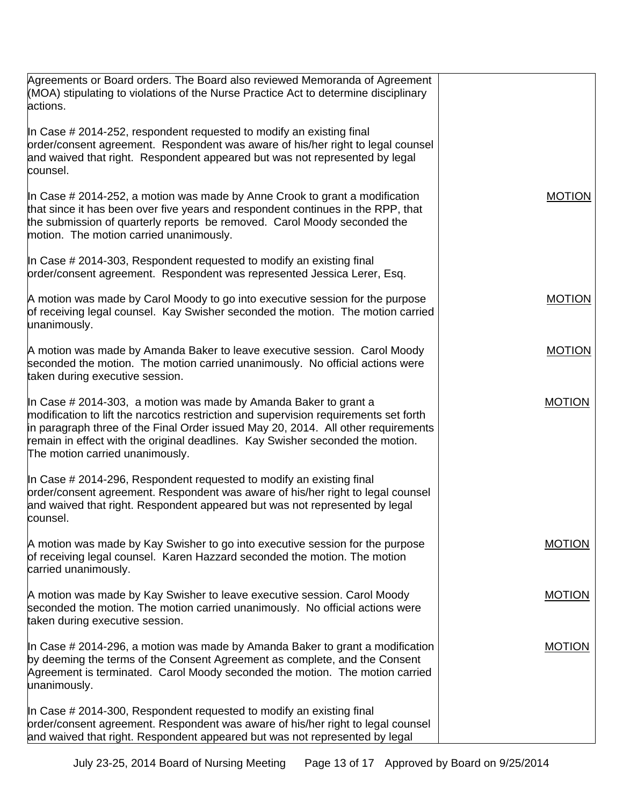| Agreements or Board orders. The Board also reviewed Memoranda of Agreement<br>(MOA) stipulating to violations of the Nurse Practice Act to determine disciplinary<br>actions.                                                                                                                                                                                       |               |
|---------------------------------------------------------------------------------------------------------------------------------------------------------------------------------------------------------------------------------------------------------------------------------------------------------------------------------------------------------------------|---------------|
| In Case # 2014-252, respondent requested to modify an existing final<br>order/consent agreement. Respondent was aware of his/her right to legal counsel<br>and waived that right. Respondent appeared but was not represented by legal<br>counsel.                                                                                                                  |               |
| In Case # 2014-252, a motion was made by Anne Crook to grant a modification<br>that since it has been over five years and respondent continues in the RPP, that<br>the submission of quarterly reports be removed. Carol Moody seconded the<br>motion. The motion carried unanimously.                                                                              | <b>MOTION</b> |
| In Case # 2014-303, Respondent requested to modify an existing final<br>order/consent agreement. Respondent was represented Jessica Lerer, Esq.                                                                                                                                                                                                                     |               |
| A motion was made by Carol Moody to go into executive session for the purpose<br>of receiving legal counsel. Kay Swisher seconded the motion. The motion carried<br>unanimously.                                                                                                                                                                                    | <b>MOTION</b> |
| A motion was made by Amanda Baker to leave executive session. Carol Moody<br>seconded the motion. The motion carried unanimously. No official actions were<br>taken during executive session.                                                                                                                                                                       | <b>MOTION</b> |
| In Case # 2014-303, a motion was made by Amanda Baker to grant a<br>modification to lift the narcotics restriction and supervision requirements set forth<br>in paragraph three of the Final Order issued May 20, 2014. All other requirements<br>remain in effect with the original deadlines. Kay Swisher seconded the motion.<br>The motion carried unanimously. | <b>MOTION</b> |
| In Case # 2014-296, Respondent requested to modify an existing final<br>order/consent agreement. Respondent was aware of his/her right to legal counsel<br>and waived that right. Respondent appeared but was not represented by legal<br>counsel.                                                                                                                  |               |
| A motion was made by Kay Swisher to go into executive session for the purpose<br>of receiving legal counsel. Karen Hazzard seconded the motion. The motion<br>carried unanimously.                                                                                                                                                                                  | <b>MOTION</b> |
| A motion was made by Kay Swisher to leave executive session. Carol Moody<br>seconded the motion. The motion carried unanimously. No official actions were<br>taken during executive session.                                                                                                                                                                        | <b>MOTION</b> |
| In Case # 2014-296, a motion was made by Amanda Baker to grant a modification<br>by deeming the terms of the Consent Agreement as complete, and the Consent<br>Agreement is terminated. Carol Moody seconded the motion. The motion carried<br>unanimously.                                                                                                         | <b>MOTION</b> |
| In Case # 2014-300, Respondent requested to modify an existing final<br>order/consent agreement. Respondent was aware of his/her right to legal counsel<br>and waived that right. Respondent appeared but was not represented by legal                                                                                                                              |               |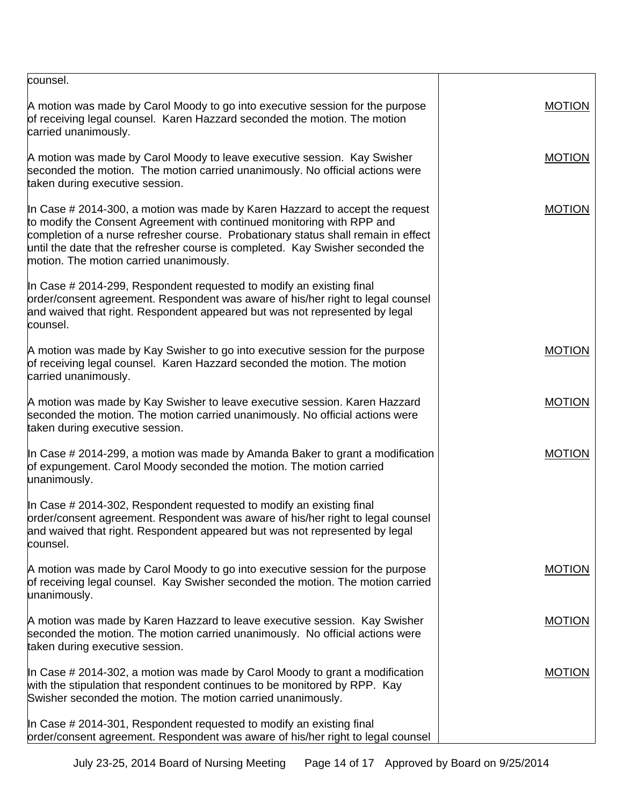| counsel.                                                                                                                                                                                                                                                                                                                                                                      |               |
|-------------------------------------------------------------------------------------------------------------------------------------------------------------------------------------------------------------------------------------------------------------------------------------------------------------------------------------------------------------------------------|---------------|
| A motion was made by Carol Moody to go into executive session for the purpose<br>of receiving legal counsel. Karen Hazzard seconded the motion. The motion<br>carried unanimously.                                                                                                                                                                                            | <b>MOTION</b> |
| A motion was made by Carol Moody to leave executive session. Kay Swisher<br>seconded the motion. The motion carried unanimously. No official actions were<br>taken during executive session.                                                                                                                                                                                  | <b>MOTION</b> |
| In Case $\#$ 2014-300, a motion was made by Karen Hazzard to accept the request<br>to modify the Consent Agreement with continued monitoring with RPP and<br>completion of a nurse refresher course. Probationary status shall remain in effect<br>until the date that the refresher course is completed. Kay Swisher seconded the<br>motion. The motion carried unanimously. | <b>MOTION</b> |
| In Case # 2014-299, Respondent requested to modify an existing final<br>order/consent agreement. Respondent was aware of his/her right to legal counsel<br>and waived that right. Respondent appeared but was not represented by legal<br>counsel.                                                                                                                            |               |
| A motion was made by Kay Swisher to go into executive session for the purpose<br>of receiving legal counsel. Karen Hazzard seconded the motion. The motion<br>carried unanimously.                                                                                                                                                                                            | <b>MOTION</b> |
| A motion was made by Kay Swisher to leave executive session. Karen Hazzard<br>seconded the motion. The motion carried unanimously. No official actions were<br>taken during executive session.                                                                                                                                                                                | <b>MOTION</b> |
| In Case # 2014-299, a motion was made by Amanda Baker to grant a modification<br>of expungement. Carol Moody seconded the motion. The motion carried<br>unanimously.                                                                                                                                                                                                          | <b>MOTION</b> |
| In Case # 2014-302, Respondent requested to modify an existing final<br>order/consent agreement. Respondent was aware of his/her right to legal counsel<br>and waived that right. Respondent appeared but was not represented by legal<br>counsel.                                                                                                                            |               |
| A motion was made by Carol Moody to go into executive session for the purpose<br>of receiving legal counsel. Kay Swisher seconded the motion. The motion carried<br>unanimously.                                                                                                                                                                                              | <b>MOTION</b> |
| A motion was made by Karen Hazzard to leave executive session. Kay Swisher<br>seconded the motion. The motion carried unanimously. No official actions were<br>taken during executive session.                                                                                                                                                                                | <b>MOTION</b> |
| In Case # 2014-302, a motion was made by Carol Moody to grant a modification<br>with the stipulation that respondent continues to be monitored by RPP. Kay<br>Swisher seconded the motion. The motion carried unanimously.                                                                                                                                                    | <b>MOTION</b> |
| In Case # 2014-301, Respondent requested to modify an existing final<br>order/consent agreement. Respondent was aware of his/her right to legal counsel                                                                                                                                                                                                                       |               |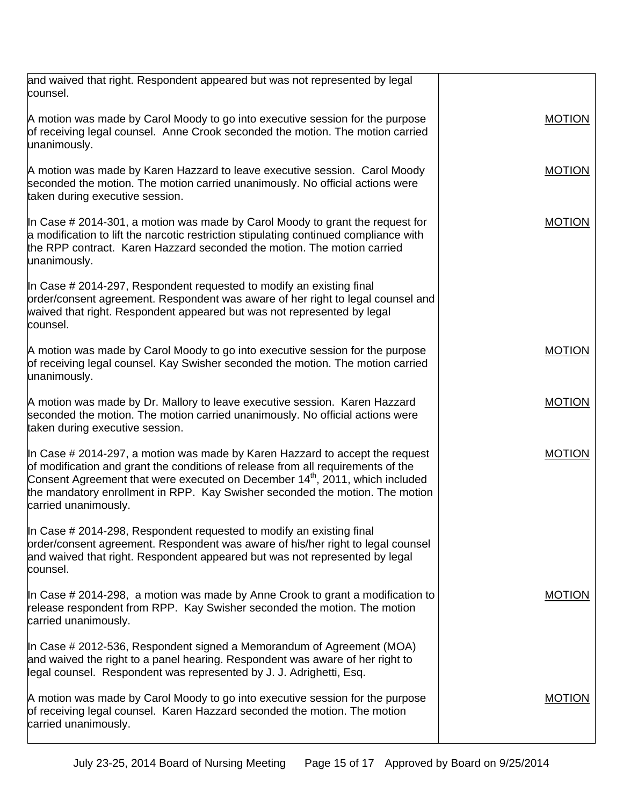| and waived that right. Respondent appeared but was not represented by legal<br>counsel.                                                                                                                                                                                                                                                                                 |               |
|-------------------------------------------------------------------------------------------------------------------------------------------------------------------------------------------------------------------------------------------------------------------------------------------------------------------------------------------------------------------------|---------------|
| A motion was made by Carol Moody to go into executive session for the purpose<br>of receiving legal counsel. Anne Crook seconded the motion. The motion carried<br>unanimously.                                                                                                                                                                                         | <b>MOTION</b> |
| A motion was made by Karen Hazzard to leave executive session. Carol Moody<br>seconded the motion. The motion carried unanimously. No official actions were<br>taken during executive session.                                                                                                                                                                          | <b>MOTION</b> |
| In Case # 2014-301, a motion was made by Carol Moody to grant the request for<br>a modification to lift the narcotic restriction stipulating continued compliance with<br>the RPP contract. Karen Hazzard seconded the motion. The motion carried<br>unanimously.                                                                                                       | <b>MOTION</b> |
| In Case # 2014-297, Respondent requested to modify an existing final<br>prder/consent agreement. Respondent was aware of her right to legal counsel and<br>waived that right. Respondent appeared but was not represented by legal<br>counsel.                                                                                                                          |               |
| A motion was made by Carol Moody to go into executive session for the purpose<br>of receiving legal counsel. Kay Swisher seconded the motion. The motion carried<br>unanimously.                                                                                                                                                                                        | <b>MOTION</b> |
| A motion was made by Dr. Mallory to leave executive session. Karen Hazzard<br>seconded the motion. The motion carried unanimously. No official actions were<br>taken during executive session.                                                                                                                                                                          | <b>MOTION</b> |
| In Case $\#$ 2014-297, a motion was made by Karen Hazzard to accept the request<br>of modification and grant the conditions of release from all requirements of the<br>Consent Agreement that were executed on December 14 <sup>th</sup> , 2011, which included<br>the mandatory enrollment in RPP. Kay Swisher seconded the motion. The motion<br>carried unanimously. | <b>MOTION</b> |
| In Case # 2014-298, Respondent requested to modify an existing final<br>order/consent agreement. Respondent was aware of his/her right to legal counsel<br>and waived that right. Respondent appeared but was not represented by legal<br>counsel.                                                                                                                      |               |
| In Case # 2014-298, a motion was made by Anne Crook to grant a modification to<br>release respondent from RPP. Kay Swisher seconded the motion. The motion<br>carried unanimously.                                                                                                                                                                                      | <b>MOTION</b> |
| In Case # 2012-536, Respondent signed a Memorandum of Agreement (MOA)<br>and waived the right to a panel hearing. Respondent was aware of her right to<br>legal counsel. Respondent was represented by J. J. Adrighetti, Esq.                                                                                                                                           |               |
| A motion was made by Carol Moody to go into executive session for the purpose<br>of receiving legal counsel. Karen Hazzard seconded the motion. The motion<br>carried unanimously.                                                                                                                                                                                      | <b>MOTION</b> |
|                                                                                                                                                                                                                                                                                                                                                                         |               |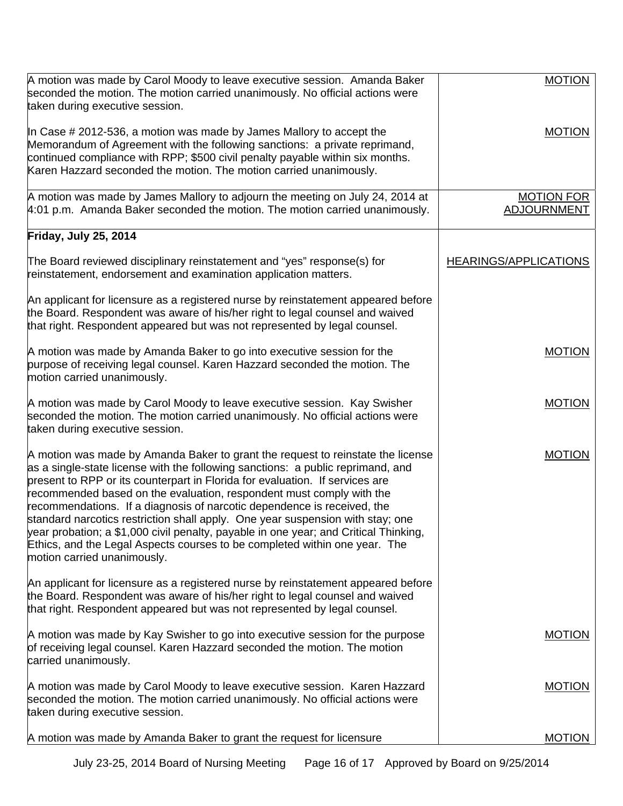| A motion was made by Carol Moody to leave executive session. Amanda Baker<br>seconded the motion. The motion carried unanimously. No official actions were<br>taken during executive session.                                                                                                                                                                                                                                                                                                                                                                                                                                                                                                | <b>MOTION</b>                           |
|----------------------------------------------------------------------------------------------------------------------------------------------------------------------------------------------------------------------------------------------------------------------------------------------------------------------------------------------------------------------------------------------------------------------------------------------------------------------------------------------------------------------------------------------------------------------------------------------------------------------------------------------------------------------------------------------|-----------------------------------------|
| In Case $\#$ 2012-536, a motion was made by James Mallory to accept the<br>Memorandum of Agreement with the following sanctions: a private reprimand,<br>continued compliance with RPP; \$500 civil penalty payable within six months.<br>Karen Hazzard seconded the motion. The motion carried unanimously.                                                                                                                                                                                                                                                                                                                                                                                 | <b>MOTION</b>                           |
| A motion was made by James Mallory to adjourn the meeting on July 24, 2014 at<br>4:01 p.m. Amanda Baker seconded the motion. The motion carried unanimously.                                                                                                                                                                                                                                                                                                                                                                                                                                                                                                                                 | <b>MOTION FOR</b><br><b>ADJOURNMENT</b> |
| Friday, July 25, 2014                                                                                                                                                                                                                                                                                                                                                                                                                                                                                                                                                                                                                                                                        |                                         |
| The Board reviewed disciplinary reinstatement and "yes" response(s) for<br>reinstatement, endorsement and examination application matters.                                                                                                                                                                                                                                                                                                                                                                                                                                                                                                                                                   | <b>HEARINGS/APPLICATIONS</b>            |
| An applicant for licensure as a registered nurse by reinstatement appeared before<br>the Board. Respondent was aware of his/her right to legal counsel and waived<br>that right. Respondent appeared but was not represented by legal counsel.                                                                                                                                                                                                                                                                                                                                                                                                                                               |                                         |
| A motion was made by Amanda Baker to go into executive session for the<br>purpose of receiving legal counsel. Karen Hazzard seconded the motion. The<br>motion carried unanimously.                                                                                                                                                                                                                                                                                                                                                                                                                                                                                                          | <b>MOTION</b>                           |
| A motion was made by Carol Moody to leave executive session. Kay Swisher<br>seconded the motion. The motion carried unanimously. No official actions were<br>taken during executive session.                                                                                                                                                                                                                                                                                                                                                                                                                                                                                                 | <b>MOTION</b>                           |
| A motion was made by Amanda Baker to grant the request to reinstate the license<br>as a single-state license with the following sanctions: a public reprimand, and<br>present to RPP or its counterpart in Florida for evaluation. If services are<br>recommended based on the evaluation, respondent must comply with the<br>recommendations. If a diagnosis of narcotic dependence is received, the<br>standard narcotics restriction shall apply. One year suspension with stay; one<br>year probation; a \$1,000 civil penalty, payable in one year; and Critical Thinking,<br>Ethics, and the Legal Aspects courses to be completed within one year. The<br>motion carried unanimously. | <b>MOTION</b>                           |
| An applicant for licensure as a registered nurse by reinstatement appeared before<br>the Board. Respondent was aware of his/her right to legal counsel and waived<br>that right. Respondent appeared but was not represented by legal counsel.                                                                                                                                                                                                                                                                                                                                                                                                                                               |                                         |
| A motion was made by Kay Swisher to go into executive session for the purpose<br>of receiving legal counsel. Karen Hazzard seconded the motion. The motion<br>carried unanimously.                                                                                                                                                                                                                                                                                                                                                                                                                                                                                                           | <b>MOTION</b>                           |
| A motion was made by Carol Moody to leave executive session. Karen Hazzard<br>seconded the motion. The motion carried unanimously. No official actions were<br>taken during executive session.                                                                                                                                                                                                                                                                                                                                                                                                                                                                                               | <b>MOTION</b>                           |
| A motion was made by Amanda Baker to grant the request for licensure                                                                                                                                                                                                                                                                                                                                                                                                                                                                                                                                                                                                                         | <b>MOTION</b>                           |